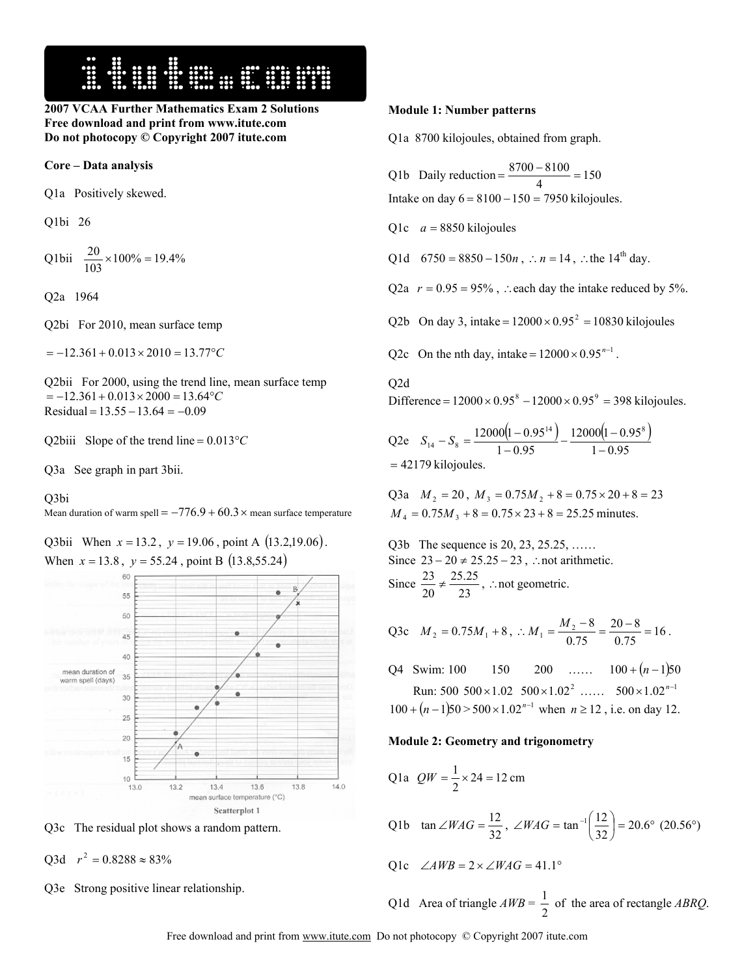

**2007 VCAA Further Mathematics Exam 2 Solutions Free download and print from www.itute.com Do not photocopy © Copyright 2007 itute.com**

### **Core – Data analysis**

Q1a Positively skewed.

Q1bi 26

Q1bii  $\frac{20}{103} \times 100\% = 19.4\%$ 

Q2a 1964

Q2bi For 2010, mean surface temp

 $=-12.361+0.013\times2010=13.77$ <sup>°</sup>C

Q2bii For 2000, using the trend line, mean surface temp = −12.361+ 0.013× 2000 = 13.64°*C*  $Residual = 13.55 - 13.64 = -0.09$ 

Q2biii Slope of the trend line = 0.013°*C*

Q3a See graph in part 3bii.

# Q3bi

Mean duration of warm spell =  $-776.9 + 60.3 \times$  mean surface temperature

Q3bii When  $x = 13.2$ ,  $y = 19.06$ , point A  $(13.2, 19.06)$ . When  $x = 13.8$ ,  $y = 55.24$ , point B (13.8,55.24)



Q3c The residual plot shows a random pattern.

 $O3d$   $r^2 = 0.8288 \approx 83\%$ 

Q3e Strong positive linear relationship.

### **Module 1: Number patterns**

Q1a 8700 kilojoules, obtained from graph.

Q1b Daily reduction = 
$$
\frac{8700 - 8100}{4} = 150
$$

Intake on day  $6 = 8100 - 150 = 7950$  kilojoules.

Q1c *a* = 8850 kilojoules

Q1d  $6750 = 8850 - 150n$ , ∴  $n = 14$ , ∴ the 14<sup>th</sup> day.

Q2a  $r = 0.95 = 95\%$ , ∴each day the intake reduced by 5%.

Q2b On day 3, intake =  $12000 \times 0.95^2 = 10830$  kilojoules

Q2c On the nth day, intake =  $12000 \times 0.95^{n-1}$ .

# $O2d$

Difference =  $12000 \times 0.95^8 - 12000 \times 0.95^9 = 398$  kilojoules.

Q2e  $S_{14} - S_8 = \frac{12000(1 - 0.95^{14})}{1 - 0.95} - \frac{12000(1 - 0.95^8)}{1 - 0.95}$  $12000(1 - 0.95)$  $1 - 0.95$  $12000(1-0.95^{14})$   $12000(1-0.95^{8})$  $S_{14} - S_8 = \frac{12000(1 - 0.95^{14})}{1 - 0.95} - \frac{12000(1 - 0.95^{14})}{1 - 0.95}$  $= 42179$  kilojoules.

Q3a  $M_2 = 20$ ,  $M_3 = 0.75M_2 + 8 = 0.75 \times 20 + 8 = 23$  $M_4 = 0.75M_3 + 8 = 0.75 \times 23 + 8 = 25.25$  minutes.

Q3b The sequence is 20, 23, 25.25, …… Since  $23 - 20 \neq 25.25 - 23$ , ∴not arithmetic. Since  $\frac{25}{20} \neq \frac{25.2}{23}$ 25.25 20  $\frac{23}{20} \neq \frac{25.25}{20}$ , ∴not geometric.

Q3c 
$$
M_2 = 0.75M_1 + 8
$$
,  $M_1 = \frac{M_2 - 8}{0.75} = \frac{20 - 8}{0.75} = 16$ .

Q4 Swim: 100 150 200 …… 100 + (*n* −1)50 Run:  $500\ 500\times1.02\ 500\times1.02^2$  ……  $500\times1.02^{n-1}$  $100 + (n-1)50 > 500 \times 1.02^{n-1}$  when  $n \ge 12$ , i.e. on day 12.

#### **Module 2: Geometry and trigonometry**

Q1a 
$$
QW = \frac{1}{2} \times 24 = 12 \text{ cm}
$$

Q1b 
$$
\tan \angle WAG = \frac{12}{32}
$$
,  $\angle WAG = \tan^{-1}(\frac{12}{32}) = 20.6^{\circ} (20.56^{\circ})$ 

$$
Q1c \quad \angle AWB = 2 \times \angle WAG = 41.1^{\circ}
$$

Q1d Area of triangle  $AWB = \frac{1}{2}$  of the area of rectangle *ABRQ*.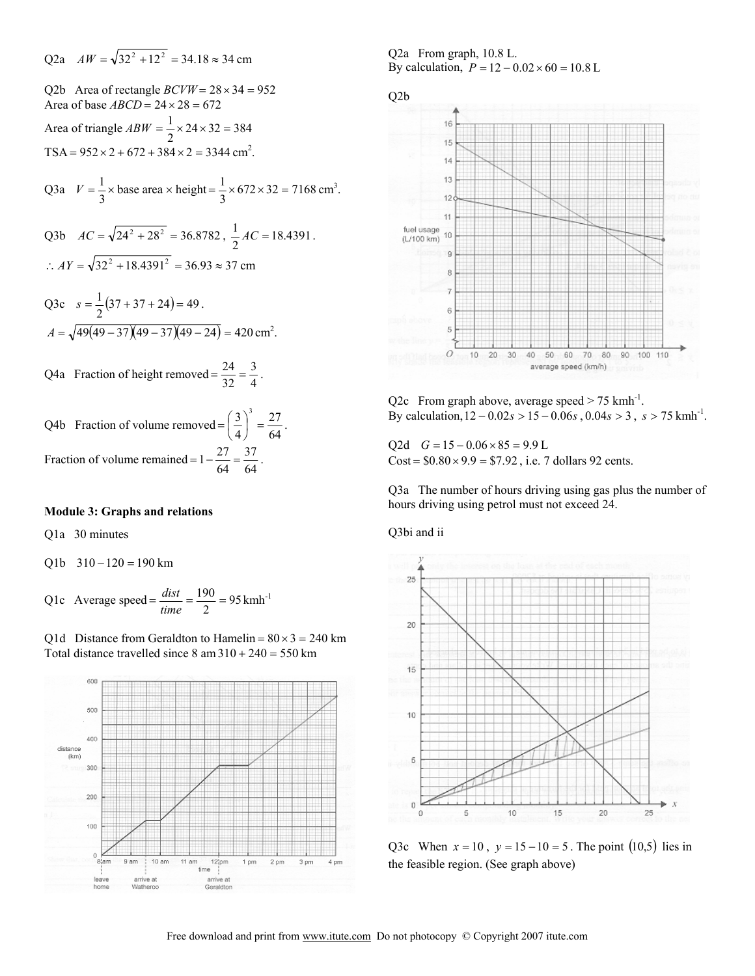Q2a 
$$
AW = \sqrt{32^2 + 12^2} = 34.18 \approx 34
$$
 cm

Q2b Area of rectangle  $BCVW = 28 \times 34 = 952$ Area of base  $ABCD = 24 \times 28 = 672$ Area of triangle  $ABW = \frac{1}{2} \times 24 \times 32 = 384$  $TSA = 952 \times 2 + 672 + 384 \times 2 = 3344$  cm<sup>2</sup>.

Q3a 
$$
V = \frac{1}{3} \times \text{base area} \times \text{height} = \frac{1}{3} \times 672 \times 32 = 7168 \text{ cm}^3
$$
.

Q3b 
$$
AC = \sqrt{24^2 + 28^2} = 36.8782
$$
,  $\frac{1}{2}AC = 18.4391$ .  
\n $\therefore AY = \sqrt{32^2 + 18.4391^2} = 36.93 \approx 37$  cm

Q3c 
$$
s = \frac{1}{2}(37 + 37 + 24) = 49
$$
.  
\n $A = \sqrt{49(49 - 37)(49 - 37)(49 - 24)} = 420$  cm<sup>2</sup>.

Q4a Fraction of height removed =  $\frac{24}{32} = \frac{3}{4}$  $=\frac{24}{32}=\frac{3}{4}.$ 

Q4b Fraction of volume removed = 
$$
\left(\frac{3}{4}\right)^3 = \frac{27}{64}
$$
.  
Fraction of volume remained =  $1 - \frac{27}{64} = \frac{37}{64}$ .

### **Module 3: Graphs and relations**

Q1a 30 minutes

 $Q1b$  310 – 120 = 190 km

Q1c Average speed =  $\frac{dist}{time} = \frac{190}{2} = 95 \text{ kmh}^{-1}$ 

Q1d Distance from Geraldton to Hamelin =  $80 \times 3 = 240$  km Total distance travelled since  $8 \text{ am } 310 + 240 = 550 \text{ km}$ 



Q2a From graph, 10.8 L. By calculation,  $P = 12 - 0.02 \times 60 = 10.8$  L



Q2c From graph above, average speed  $> 75$  kmh<sup>-1</sup>. By calculation,  $12 - 0.02s > 15 - 0.06s$ ,  $0.04s > 3$ ,  $s > 75$  kmh<sup>-1</sup>.

Q2d  $G = 15 - 0.06 \times 85 = 9.9$  L Cost =  $$0.80 \times 9.9 = $7.92$ , i.e. 7 dollars 92 cents.

Q3a The number of hours driving using gas plus the number of hours driving using petrol must not exceed 24.

## Q3bi and ii



Q3c When  $x = 10$ ,  $y = 15 - 10 = 5$ . The point (10,5) lies in the feasible region. (See graph above)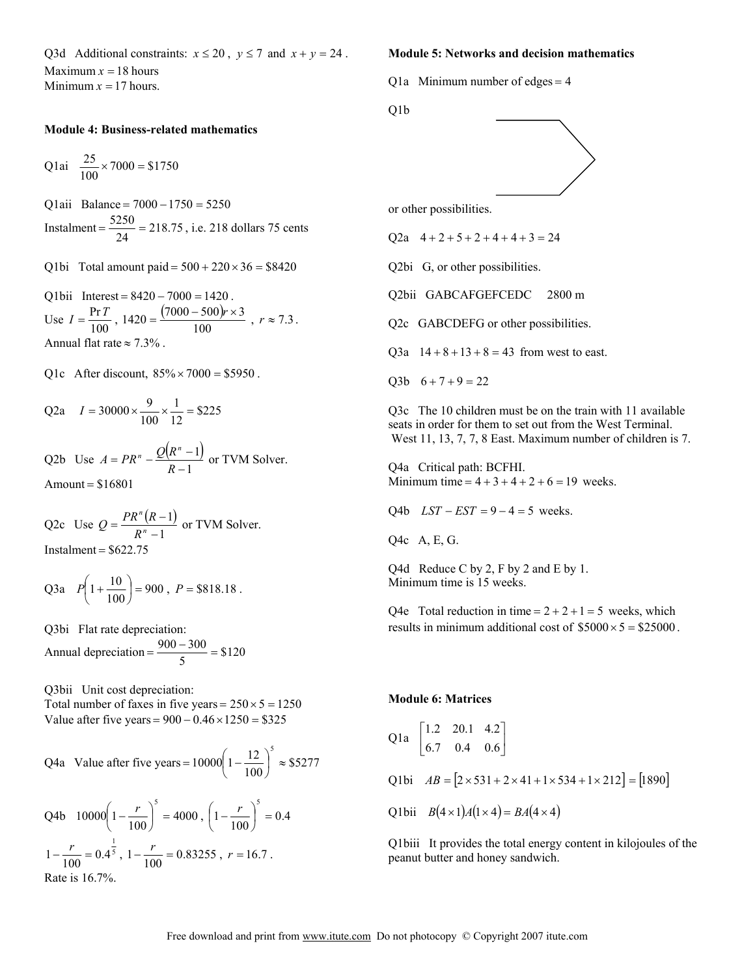Q3d Additional constraints:  $x \le 20$ ,  $y \le 7$  and  $x + y = 24$ . Maximum  $x = 18$  hours Minimum  $x = 17$  hours.

## **Module 4: Business-related mathematics**

Q1ai  $\frac{25}{100} \times 7000 = $1750$ 

Q1aii Balance = 7000 −1750 = 5250 Instalment =  $\frac{5250}{24}$  = 218.75, i.e. 218 dollars 75 cents

Q1bi Total amount paid =  $500 + 220 \times 36 = $8420$ 

Q1bii Interest =  $8420 - 7000 = 1420$ . Use  $I = \frac{\Pr{T}}{100}$ ,  $1420 = \frac{(7000 - 500)r \times 3}{100}$ ,  $r \approx 7.3$ . Annual flat rate  $\approx 7.3\%$ .

Q1c After discount,  $85\% \times 7000 = $5950$ .

Q2a 
$$
I = 30000 \times \frac{9}{100} \times \frac{1}{12} = $225
$$

Q2b Use  $A = PR'' - \frac{Q(R'' - 1)}{R - 1}$ 1  $A = PR^{n} - \frac{Q(R^{n}-1)}{R-1}$  or TVM Solver.  $Amount = $16801$ 

Q2c Use 
$$
Q = \frac{PR^n(R-1)}{R^n - 1}
$$
 or TVM Solver.  
Instant = \$622.75

Q3a 
$$
P\left(1+\frac{10}{100}\right) = 900
$$
,  $P = $818.18$ .

Q3bi Flat rate depreciation: Annual depreciation  $= \frac{300 - 300}{5} = $120$  $=\frac{900-300}{5}=$ 

Q3bii Unit cost depreciation: Total number of faxes in five years =  $250 \times 5 = 1250$ Value after five years =  $900 - 0.46 \times 1250 = $325$ 

Q4a Value after five years = 
$$
10000 \left( 1 - \frac{12}{100} \right)^5 \approx $5277
$$

Q4b 
$$
10000\left(1 - \frac{r}{100}\right)^5 = 4000
$$
,  $\left(1 - \frac{r}{100}\right)^5 = 0.4$   
 $1 - \frac{r}{100} = 0.4^{\frac{1}{5}}$ ,  $1 - \frac{r}{100} = 0.83255$ ,  $r = 16.7$ .  
Rate is 16.7%.

# **Module 5: Networks and decision mathematics**

Q1a Minimum number of edges =  $4$ 

Q1b



or other possibilities.

O2a  $4 + 2 + 5 + 2 + 4 + 4 + 3 = 24$ 

Q2bi G, or other possibilities.

Q2bii GABCAFGEFCEDC 2800 m

Q2c GABCDEFG or other possibilities.

Q3a  $14 + 8 + 13 + 8 = 43$  from west to east.

Q3b  $6 + 7 + 9 = 22$ 

Q3c The 10 children must be on the train with 11 available seats in order for them to set out from the West Terminal. West 11, 13, 7, 7, 8 East. Maximum number of children is 7.

Q4a Critical path: BCFHI. Minimum time =  $4 + 3 + 4 + 2 + 6 = 19$  weeks.

Q4b  $LST - EST = 9 - 4 = 5$  weeks.

Q4c A, E, G.

Q4d Reduce C by 2, F by 2 and E by 1. Minimum time is 15 weeks.

Q4e Total reduction in time =  $2 + 2 + 1 = 5$  weeks, which results in minimum additional cost of  $$5000 \times 5 = $25000$ .

### **Module 6: Matrices**

Q1a 
$$
\begin{bmatrix} 1.2 & 20.1 & 4.2 \\ 6.7 & 0.4 & 0.6 \end{bmatrix}
$$
  
Q1bi  $AB = [2 \times 531 + 2 \times 41 + 1 \times 534 + 1 \times 212] = [1890]$   
Q1bii  $B(4 \times 1)A(1 \times 4) = BA(4 \times 4)$ 

Q1biii It provides the total energy content in kilojoules of the peanut butter and honey sandwich.